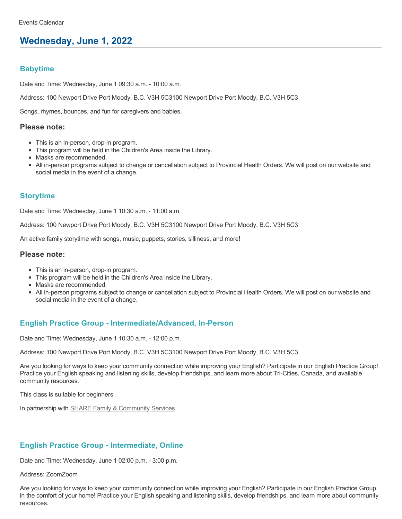# **Wednesday, June 1, 2022**

### **Babytime**

Date and Time: Wednesday, June 1 09:30 a.m. - 10:00 a.m.

Address: 100 Newport Drive Port Moody, B.C. V3H 5C3100 Newport Drive Port Moody, B.C. V3H 5C3

Songs, rhymes, bounces, and fun for caregivers and babies.

#### **Please note:**

- This is an in-person, drop-in program.
- This program will be held in the Children's Area inside the Library.
- Masks are recommended.
- All in-person programs subject to change or cancellation subject to Provincial Health Orders. We will post on our website and social media in the event of a change.

### **Storytime**

Date and Time: Wednesday, June 1 10:30 a.m. - 11:00 a.m.

Address: 100 Newport Drive Port Moody, B.C. V3H 5C3100 Newport Drive Port Moody, B.C. V3H 5C3

An active family storytime with songs, music, puppets, stories, silliness, and more!

#### **Please note:**

- This is an in-person, drop-in program.
- This program will be held in the Children's Area inside the Library.
- Masks are recommended.
- All in-person programs subject to change or cancellation subject to Provincial Health Orders. We will post on our website and social media in the event of a change.

## **English Practice Group - Intermediate/Advanced, In-Person**

Date and Time: Wednesday, June 1 10:30 a.m. - 12:00 p.m.

Address: 100 Newport Drive Port Moody, B.C. V3H 5C3100 Newport Drive Port Moody, B.C. V3H 5C3

Are you looking for ways to keep your community connection while improving your English? Participate in our English Practice Group! Practice your English speaking and listening skills, develop friendships, and learn more about Tri-Cities, Canada, and available community resources.

This class is suitable for beginners.

In partnership with [SHARE Family & Community Services.](https://sharesociety.ca/)

## **English Practice Group - Intermediate, Online**

Date and Time: Wednesday, June 1 02:00 p.m. - 3:00 p.m.

Address: ZoomZoom

Are you looking for ways to keep your community connection while improving your English? Participate in our English Practice Group in the comfort of your home! Practice your English speaking and listening skills, develop friendships, and learn more about community resources.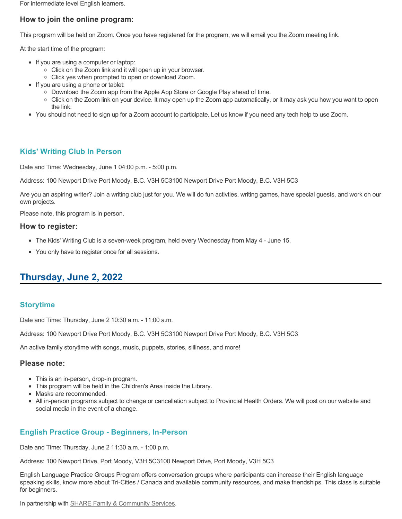For intermediate level English learners.

## **How to join the online program:**

This program will be held on Zoom. Once you have registered for the program, we will email you the Zoom meeting link.

At the start time of the program:

- If you are using a computer or laptop:
	- Click on the Zoom link and it will open up in your browser.
	- Click yes when prompted to open or download Zoom.
- If you are using a phone or tablet:
	- Download the Zoom app from the Apple App Store or Google Play ahead of time.
	- Click on the Zoom link on your device. It may open up the Zoom app automatically, or it may ask you how you want to open the link.
- You should not need to sign up for a Zoom account to participate. Let us know if you need any tech help to use Zoom.

### **Kids' Writing Club In Person**

Date and Time: Wednesday, June 1 04:00 p.m. - 5:00 p.m.

Address: 100 Newport Drive Port Moody, B.C. V3H 5C3100 Newport Drive Port Moody, B.C. V3H 5C3

Are you an aspiring writer? Join a writing club just for you. We will do fun activties, writing games, have special guests, and work on our own projects.

Please note, this program is in person.

#### **How to register:**

- The Kids' Writing Club is a seven-week program, held every Wednesday from May 4 June 15.
- You only have to register once for all sessions.

# **Thursday, June 2, 2022**

## **Storytime**

Date and Time: Thursday, June 2 10:30 a.m. - 11:00 a.m.

Address: 100 Newport Drive Port Moody, B.C. V3H 5C3100 Newport Drive Port Moody, B.C. V3H 5C3

An active family storytime with songs, music, puppets, stories, silliness, and more!

#### **Please note:**

- This is an in-person, drop-in program.
- This program will be held in the Children's Area inside the Library.
- Masks are recommended.
- All in-person programs subject to change or cancellation subject to Provincial Health Orders. We will post on our website and social media in the event of a change.

## **English Practice Group - Beginners, In-Person**

Date and Time: Thursday, June 2 11:30 a.m. - 1:00 p.m.

Address: 100 Newport Drive, Port Moody, V3H 5C3100 Newport Drive, Port Moody, V3H 5C3

English Language Practice Groups Program offers conversation groups where participants can increase their English language speaking skills, know more about Tri-Cities / Canada and available community resources, and make friendships. This class is suitable for beginners.

In partnership with [SHARE Family & Community Services.](https://sharesociety.ca/)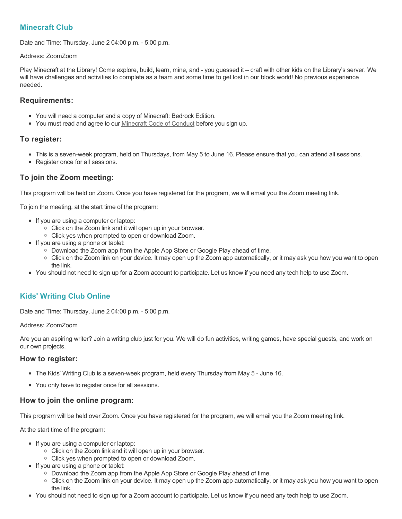# **Minecraft Club**

Date and Time: Thursday, June 2 04:00 p.m. - 5:00 p.m.

#### Address: ZoomZoom

Play Minecraft at the Library! Come explore, build, learn, mine, and - you guessed it – craft with other kids on the Library's server. We will have challenges and activities to complete as a team and some time to get lost in our block world! No previous experience needed.

### **Requirements:**

- You will need a computer and a copy of Minecraft: Bedrock Edition.
- You must read and agree to our [Minecraft Code of Conduct](https://www.portmoodylibrary.ca/en/services/edocs.ashx?docnumber=577372) before you sign up.

## **To register:**

- This is a seven-week program, held on Thursdays, from May 5 to June 16. Please ensure that you can attend all sessions.
- Register once for all sessions.

# **To join the Zoom meeting:**

This program will be held on Zoom. Once you have registered for the program, we will email you the Zoom meeting link.

To join the meeting, at the start time of the program:

- If you are using a computer or laptop:
	- Click on the Zoom link and it will open up in your browser.
	- Click yes when prompted to open or download Zoom.
- If you are using a phone or tablet:
	- Download the Zoom app from the Apple App Store or Google Play ahead of time.
	- Click on the Zoom link on your device. It may open up the Zoom app automatically, or it may ask you how you want to open the link.
- You should not need to sign up for a Zoom account to participate. Let us know if you need any tech help to use Zoom.

# **Kids' Writing Club Online**

Date and Time: Thursday, June 2 04:00 p.m. - 5:00 p.m.

Address: ZoomZoom

Are you an aspiring writer? Join a writing club just for you. We will do fun activities, writing games, have special guests, and work on our own projects.

### **How to register:**

- The Kids' Writing Club is a seven-week program, held every Thursday from May 5 June 16.
- You only have to register once for all sessions.

## **How to join the online program:**

This program will be held over Zoom. Once you have registered for the program, we will email you the Zoom meeting link.

At the start time of the program:

- If you are using a computer or laptop:
	- Click on the Zoom link and it will open up in your browser.
	- Click yes when prompted to open or download Zoom.
- If you are using a phone or tablet:
	- Download the Zoom app from the Apple App Store or Google Play ahead of time.
	- Click on the Zoom link on your device. It may open up the Zoom app automatically, or it may ask you how you want to open the link.
- You should not need to sign up for a Zoom account to participate. Let us know if you need any tech help to use Zoom.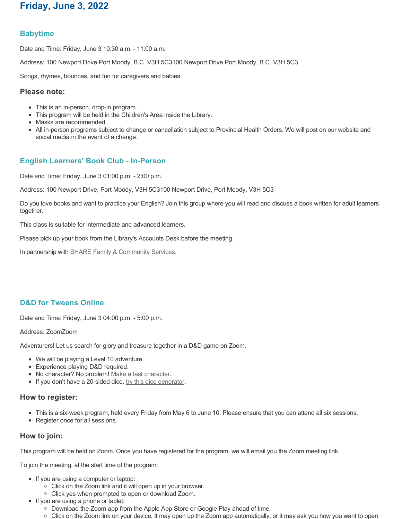# **Babytime**

Date and Time: Friday, June 3 10:30 a.m. - 11:00 a.m.

Address: 100 Newport Drive Port Moody, B.C. V3H 5C3100 Newport Drive Port Moody, B.C. V3H 5C3

Songs, rhymes, bounces, and fun for caregivers and babies.

### **Please note:**

- This is an in-person, drop-in program.
- This program will be held in the Children's Area inside the Library.
- Masks are recommended.
- All in-person programs subject to change or cancellation subject to Provincial Health Orders. We will post on our website and social media in the event of a change.

# **English Learners' Book Club - In-Person**

Date and Time: Friday, June 3 01:00 p.m. - 2:00 p.m.

Address: 100 Newport Drive, Port Moody, V3H 5C3100 Newport Drive, Port Moody, V3H 5C3

Do you love books and want to practice your English? Join this group where you will read and discuss a book written for adult learners together.

This class is suitable for intermediate and advanced learners.

Please pick up your book from the Library's Accounts Desk before the meeting.

In partnership with **SHARE Family & Community Services**.

# **D&D for Tweens Online**

Date and Time: Friday, June 3 04:00 p.m. - 5:00 p.m.

#### Address: ZoomZoom

Adventurers! Let us search for glory and treasure together in a D&D game on Zoom.

- We will be playing a Level 10 adventure.
- Experience playing D&D required.
- No character? No problem! [Make a fast character.](https://fastcharacter.com/)
- If you don't have a 20-sided dice, [try this dice generator.](https://www.wizards.com/dnd/dice/dice.htm)

### **How to register:**

- This is a six-week program, held every Friday from May 6 to June 10. Please ensure that you can attend all six sessions.
- Register once for all sessions.

## **How to join:**

This program will be held on Zoom. Once you have registered for the program, we will email you the Zoom meeting link.

To join the meeting, at the start time of the program:

- If you are using a computer or laptop:
	- Click on the Zoom link and it will open up in your browser.
	- Click yes when prompted to open or download Zoom.
- If you are using a phone or tablet:
	- Download the Zoom app from the Apple App Store or Google Play ahead of time.
	- Click on the Zoom link on your device. It may open up the Zoom app automatically, or it may ask you how you want to open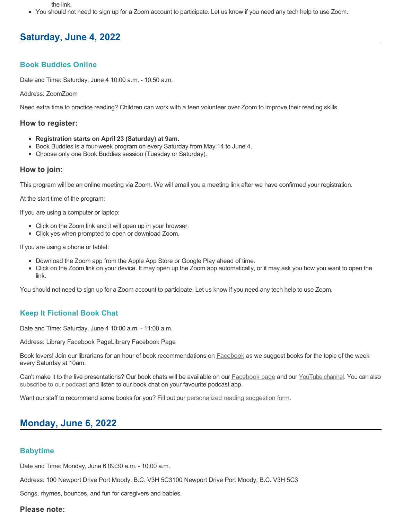the link.

You should not need to sign up for a Zoom account to participate. Let us know if you need any tech help to use Zoom.

# **Saturday, June 4, 2022**

# **Book Buddies Online**

Date and Time: Saturday, June 4 10:00 a.m. - 10:50 a.m.

#### Address: ZoomZoom

Need extra time to practice reading? Children can work with a teen volunteer over Zoom to improve their reading skills.

#### **How to register:**

- **Registration starts on April 23 (Saturday) at 9am.**
- Book Buddies is a four-week program on every Saturday from May 14 to June 4.
- Choose only one Book Buddies session (Tuesday or Saturday).

### **How to join:**

This program will be an online meeting via Zoom. We will email you a meeting link after we have confirmed your registration.

At the start time of the program:

If you are using a computer or laptop:

- Click on the Zoom link and it will open up in your browser.
- Click yes when prompted to open or download Zoom.

If you are using a phone or tablet:

- Download the Zoom app from the Apple App Store or Google Play ahead of time.
- Click on the Zoom link on your device. It may open up the Zoom app automatically, or it may ask you how you want to open the link.

You should not need to sign up for a Zoom account to participate. Let us know if you need any tech help to use Zoom.

## **Keep It Fictional Book Chat**

Date and Time: Saturday, June 4 10:00 a.m. - 11:00 a.m.

Address: Library Facebook PageLibrary Facebook Page

Book lovers! Join our librarians for an hour of book recommendations on **[Facebook](https://www.facebook.com/pomolibrary)** as we suggest books for the topic of the week every Saturday at 10am.

Can't make it to the live presentations? Our book chats will be available on our [Facebook page](https://www.facebook.com/pomolibrary/) and our [YouTube channel](https://www.youtube.com/channel/UC2I_AE1E_BpN8xBXwyzhiYg?view_as=subscriber). You can also [subscribe to our podcast](https://anchor.fm/keepitfictional) and listen to our book chat on your favourite podcast app.

Want our staff to recommend some books for you? Fill out our [personalized reading suggestion form](https://www.portmoodylibrary.ca/en/borrow/reading-suggestions.aspx).

# **Monday, June 6, 2022**

## **Babytime**

Date and Time: Monday, June 6 09:30 a.m. - 10:00 a.m.

Address: 100 Newport Drive Port Moody, B.C. V3H 5C3100 Newport Drive Port Moody, B.C. V3H 5C3

Songs, rhymes, bounces, and fun for caregivers and babies.

### **Please note:**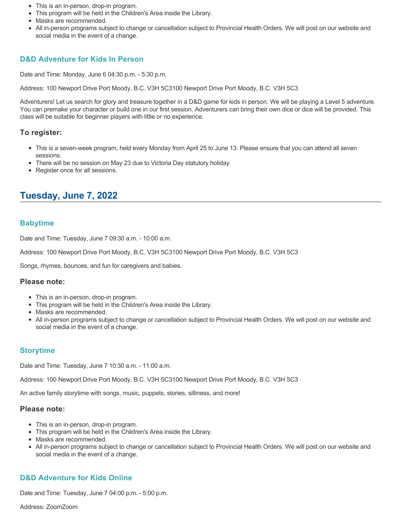- This is an in-person, drop-in program.
- This program will be held in the Children's Area inside the Library.
- Masks are recommended.
- All in-person programs subject to change or cancellation subject to Provincial Health Orders. We will post on our website and social media in the event of a change.

# **D&D Adventure for Kids In Person**

Date and Time: Monday, June 6 04:30 p.m. - 5:30 p.m.

Address: 100 Newport Drive Port Moody, B.C. V3H 5C3100 Newport Drive Port Moody, B.C. V3H 5C3

Adventurers! Let us search for glory and treasure together in a D&D game for kids in person. We will be playing a Level 5 adventure. You can premake your character or build one in our first session. Adventurers can bring their own dice or dice will be provided. This class will be suitable for beginner players with little or no experience.

### **To register:**

- This is a seven-week program, held every Monday from April 25 to June 13. Please ensure that you can attend all seven sessions.
- There will be no session on May 23 due to Victoria Day statutory holiday
- Register once for all sessions.

# **Tuesday, June 7, 2022**

### **Babytime**

Date and Time: Tuesday, June 7 09:30 a.m. - 10:00 a.m.

Address: 100 Newport Drive Port Moody, B.C. V3H 5C3100 Newport Drive Port Moody, B.C. V3H 5C3

Songs, rhymes, bounces, and fun for caregivers and babies.

#### **Please note:**

- This is an in-person, drop-in program.
- This program will be held in the Children's Area inside the Library.
- Masks are recommended.
- All in-person programs subject to change or cancellation subject to Provincial Health Orders. We will post on our website and social media in the event of a change.

## **Storytime**

Date and Time: Tuesday, June 7 10:30 a.m. - 11:00 a.m.

Address: 100 Newport Drive Port Moody, B.C. V3H 5C3100 Newport Drive Port Moody, B.C. V3H 5C3

An active family storytime with songs, music, puppets, stories, silliness, and more!

#### **Please note:**

- This is an in-person, drop-in program.
- This program will be held in the Children's Area inside the Library.
- Masks are recommended.
- All in-person programs subject to change or cancellation subject to Provincial Health Orders. We will post on our website and social media in the event of a change.

# **D&D Adventure for Kids Online**

Date and Time: Tuesday, June 7 04:00 p.m. - 5:00 p.m.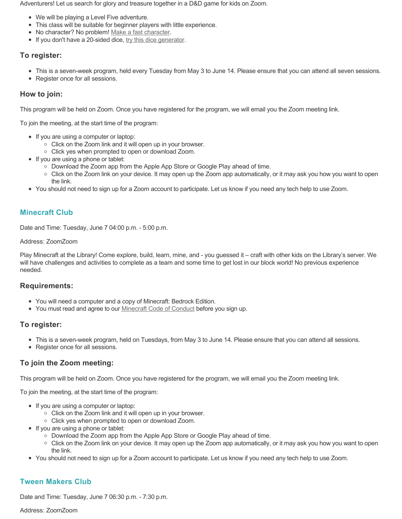Adventurers! Let us search for glory and treasure together in a D&D game for kids on Zoom.

- We will be playing a Level Five adventure.
- This class will be suitable for beginner players with little experience.
- No character? No problem! [Make a fast character.](https://fastcharacter.com/)
- If you don't have a 20-sided dice, [try this dice generator.](https://www.wizards.com/dnd/dice/dice.htm)

# **To register:**

- This is a seven-week program, held every Tuesday from May 3 to June 14. Please ensure that you can attend all seven sessions.
- Register once for all sessions.

# **How to join:**

This program will be held on Zoom. Once you have registered for the program, we will email you the Zoom meeting link.

To join the meeting, at the start time of the program:

- If you are using a computer or laptop:
	- Click on the Zoom link and it will open up in your browser.
	- $\circ$  Click yes when prompted to open or download Zoom.
- If you are using a phone or tablet:
	- Download the Zoom app from the Apple App Store or Google Play ahead of time.
	- Click on the Zoom link on your device. It may open up the Zoom app automatically, or it may ask you how you want to open the link.
- You should not need to sign up for a Zoom account to participate. Let us know if you need any tech help to use Zoom.

# **Minecraft Club**

Date and Time: Tuesday, June 7 04:00 p.m. - 5:00 p.m.

# Address: ZoomZoom

Play Minecraft at the Library! Come explore, build, learn, mine, and - you guessed it – craft with other kids on the Library's server. We will have challenges and activities to complete as a team and some time to get lost in our block world! No previous experience needed.

# **Requirements:**

- You will need a computer and a copy of Minecraft: Bedrock Edition.
- You must read and agree to our **Minecraft Code of Conduct** before you sign up.

# **To register:**

- This is a seven-week program, held on Tuesdays, from May 3 to June 14. Please ensure that you can attend all sessions.
- Register once for all sessions.

# **To join the Zoom meeting:**

This program will be held on Zoom. Once you have registered for the program, we will email you the Zoom meeting link.

To join the meeting, at the start time of the program:

- If you are using a computer or laptop:
	- Click on the Zoom link and it will open up in your browser.
	- Click yes when prompted to open or download Zoom.
- If you are using a phone or tablet:
	- Download the Zoom app from the Apple App Store or Google Play ahead of time.
	- Click on the Zoom link on your device. It may open up the Zoom app automatically, or it may ask you how you want to open the link.
- You should not need to sign up for a Zoom account to participate. Let us know if you need any tech help to use Zoom.

# **Tween Makers Club**

Date and Time: Tuesday, June 7 06:30 p.m. - 7:30 p.m.

Address: ZoomZoom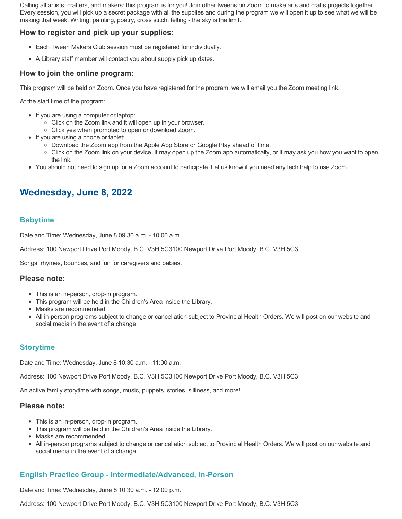Calling all artists, crafters, and makers: this program is for you! Join other tweens on Zoom to make arts and crafts projects together. Every session, you will pick up a secret package with all the supplies and during the program we will open it up to see what we will be making that week. Writing, painting, poetry, cross stitch, felting - the sky is the limit.

# **How to register and pick up your supplies:**

- Each Tween Makers Club session must be registered for individually.
- A Library staff member will contact you about supply pick up dates.

## **How to join the online program:**

This program will be held on Zoom. Once you have registered for the program, we will email you the Zoom meeting link.

At the start time of the program:

- If you are using a computer or laptop:
	- Click on the Zoom link and it will open up in your browser.
	- Click yes when prompted to open or download Zoom.
- If you are using a phone or tablet:
	- Download the Zoom app from the Apple App Store or Google Play ahead of time.
	- Click on the Zoom link on your device. It may open up the Zoom app automatically, or it may ask you how you want to open the link.
- You should not need to sign up for a Zoom account to participate. Let us know if you need any tech help to use Zoom.

# **Wednesday, June 8, 2022**

# **Babytime**

Date and Time: Wednesday, June 8 09:30 a.m. - 10:00 a.m.

Address: 100 Newport Drive Port Moody, B.C. V3H 5C3100 Newport Drive Port Moody, B.C. V3H 5C3

Songs, rhymes, bounces, and fun for caregivers and babies.

### **Please note:**

- This is an in-person, drop-in program.
- This program will be held in the Children's Area inside the Library.
- Masks are recommended.
- All in-person programs subject to change or cancellation subject to Provincial Health Orders. We will post on our website and social media in the event of a change.

## **Storytime**

Date and Time: Wednesday, June 8 10:30 a.m. - 11:00 a.m.

Address: 100 Newport Drive Port Moody, B.C. V3H 5C3100 Newport Drive Port Moody, B.C. V3H 5C3

An active family storytime with songs, music, puppets, stories, silliness, and more!

### **Please note:**

- This is an in-person, drop-in program.
- This program will be held in the Children's Area inside the Library.
- Masks are recommended.
- All in-person programs subject to change or cancellation subject to Provincial Health Orders. We will post on our website and social media in the event of a change.

# **English Practice Group - Intermediate/Advanced, In-Person**

Date and Time: Wednesday, June 8 10:30 a.m. - 12:00 p.m.

Address: 100 Newport Drive Port Moody, B.C. V3H 5C3100 Newport Drive Port Moody, B.C. V3H 5C3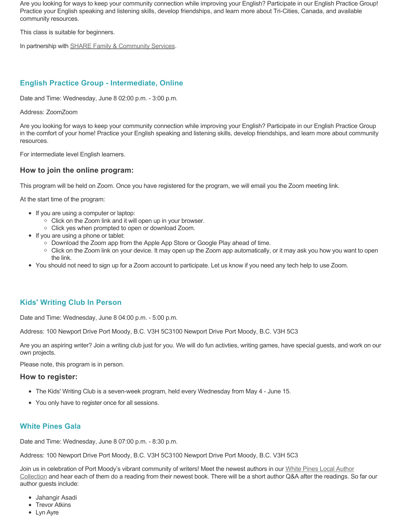Are you looking for ways to keep your community connection while improving your English? Participate in our English Practice Group! Practice your English speaking and listening skills, develop friendships, and learn more about Tri-Cities, Canada, and available community resources.

This class is suitable for beginners.

In partnership with **SHARE Family & Community Services**.

# **English Practice Group - Intermediate, Online**

Date and Time: Wednesday, June 8 02:00 p.m. - 3:00 p.m.

Address: ZoomZoom

Are you looking for ways to keep your community connection while improving your English? Participate in our English Practice Group in the comfort of your home! Practice your English speaking and listening skills, develop friendships, and learn more about community resources.

For intermediate level English learners.

### **How to join the online program:**

This program will be held on Zoom. Once you have registered for the program, we will email you the Zoom meeting link.

At the start time of the program:

- If you are using a computer or laptop:
	- Click on the Zoom link and it will open up in your browser.
	- Click yes when prompted to open or download Zoom.
- If you are using a phone or tablet:
	- Download the Zoom app from the Apple App Store or Google Play ahead of time.
	- Click on the Zoom link on your device. It may open up the Zoom app automatically, or it may ask you how you want to open the link.
- You should not need to sign up for a Zoom account to participate. Let us know if you need any tech help to use Zoom.

## **Kids' Writing Club In Person**

Date and Time: Wednesday, June 8 04:00 p.m. - 5:00 p.m.

Address: 100 Newport Drive Port Moody, B.C. V3H 5C3100 Newport Drive Port Moody, B.C. V3H 5C3

Are you an aspiring writer? Join a writing club just for you. We will do fun activties, writing games, have special guests, and work on our own projects.

Please note, this program is in person.

#### **How to register:**

- The Kids' Writing Club is a seven-week program, held every Wednesday from May 4 June 15.
- You only have to register once for all sessions.

## **White Pines Gala**

Date and Time: Wednesday, June 8 07:00 p.m. - 8:30 p.m.

Address: 100 Newport Drive Port Moody, B.C. V3H 5C3100 Newport Drive Port Moody, B.C. V3H 5C3

[Join us in celebration of Port Moody's vibrant community of writers! Meet the newest authors in our White Pines Local Author](https://www.portmoodylibrary.ca/en/programs-and-events/local-author-and-writing-programs.aspx) Collection and hear each of them do a reading from their newest book. There will be a short author Q&A after the readings. So far our author guests include:

- Jahangir Asadi
- Trevor Atkins
- Lyn Ayre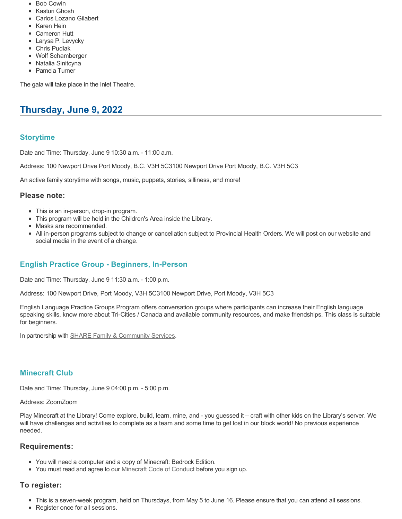- Bob Cowin
- Kasturi Ghosh Carlos Lozano Gilabert
- 
- Karen Hein
- Cameron Hutt
- Larysa P. Levycky
- Chris Pudlak
- Wolf Schamberger
- Natalia Sinitcyna
- Pamela Turner

The gala will take place in the Inlet Theatre.

# **Thursday, June 9, 2022**

# **Storytime**

Date and Time: Thursday, June 9 10:30 a.m. - 11:00 a.m.

Address: 100 Newport Drive Port Moody, B.C. V3H 5C3100 Newport Drive Port Moody, B.C. V3H 5C3

An active family storytime with songs, music, puppets, stories, silliness, and more!

### **Please note:**

- This is an in-person, drop-in program.
- This program will be held in the Children's Area inside the Library.
- Masks are recommended.
- All in-person programs subject to change or cancellation subject to Provincial Health Orders. We will post on our website and social media in the event of a change.

# **English Practice Group - Beginners, In-Person**

Date and Time: Thursday, June 9 11:30 a.m. - 1:00 p.m.

Address: 100 Newport Drive, Port Moody, V3H 5C3100 Newport Drive, Port Moody, V3H 5C3

English Language Practice Groups Program offers conversation groups where participants can increase their English language speaking skills, know more about Tri-Cities / Canada and available community resources, and make friendships. This class is suitable for beginners.

In partnership with **SHARE Family & Community Services**.

## **Minecraft Club**

Date and Time: Thursday, June 9 04:00 p.m. - 5:00 p.m.

#### Address: ZoomZoom

Play Minecraft at the Library! Come explore, build, learn, mine, and - you guessed it – craft with other kids on the Library's server. We will have challenges and activities to complete as a team and some time to get lost in our block world! No previous experience needed.

### **Requirements:**

- You will need a computer and a copy of Minecraft: Bedrock Edition.
- You must read and agree to our [Minecraft Code of Conduct](https://www.portmoodylibrary.ca/en/services/edocs.ashx?docnumber=577372) before you sign up.

## **To register:**

- This is a seven-week program, held on Thursdays, from May 5 to June 16. Please ensure that you can attend all sessions.
- Register once for all sessions.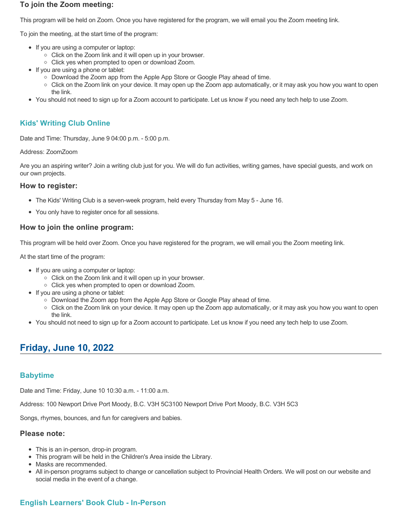### **To join the Zoom meeting:**

This program will be held on Zoom. Once you have registered for the program, we will email you the Zoom meeting link.

To join the meeting, at the start time of the program:

- If you are using a computer or laptop:
	- Click on the Zoom link and it will open up in your browser.
	- Click yes when prompted to open or download Zoom.
- If you are using a phone or tablet:
	- Download the Zoom app from the Apple App Store or Google Play ahead of time.
	- Click on the Zoom link on your device. It may open up the Zoom app automatically, or it may ask you how you want to open the link.
- You should not need to sign up for a Zoom account to participate. Let us know if you need any tech help to use Zoom.

# **Kids' Writing Club Online**

Date and Time: Thursday, June 9 04:00 p.m. - 5:00 p.m.

Address: ZoomZoom

Are you an aspiring writer? Join a writing club just for you. We will do fun activities, writing games, have special guests, and work on our own projects.

### **How to register:**

- The Kids' Writing Club is a seven-week program, held every Thursday from May 5 June 16.
- You only have to register once for all sessions.

## **How to join the online program:**

This program will be held over Zoom. Once you have registered for the program, we will email you the Zoom meeting link.

At the start time of the program:

- If you are using a computer or laptop:
	- Click on the Zoom link and it will open up in your browser.
	- Click yes when prompted to open or download Zoom.
- If you are using a phone or tablet:
	- Download the Zoom app from the Apple App Store or Google Play ahead of time.
	- Click on the Zoom link on your device. It may open up the Zoom app automatically, or it may ask you how you want to open the link.
- You should not need to sign up for a Zoom account to participate. Let us know if you need any tech help to use Zoom.

# **Friday, June 10, 2022**

## **Babytime**

Date and Time: Friday, June 10 10:30 a.m. - 11:00 a.m.

Address: 100 Newport Drive Port Moody, B.C. V3H 5C3100 Newport Drive Port Moody, B.C. V3H 5C3

Songs, rhymes, bounces, and fun for caregivers and babies.

#### **Please note:**

- This is an in-person, drop-in program.
- This program will be held in the Children's Area inside the Library.
- Masks are recommended.
- All in-person programs subject to change or cancellation subject to Provincial Health Orders. We will post on our website and social media in the event of a change.

# **English Learners' Book Club - In-Person**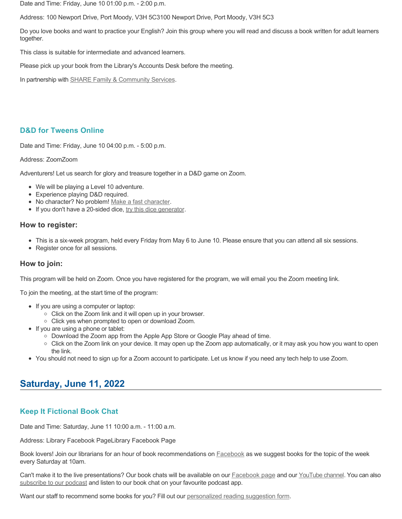Date and Time: Friday, June 10 01:00 p.m. - 2:00 p.m.

Address: 100 Newport Drive, Port Moody, V3H 5C3100 Newport Drive, Port Moody, V3H 5C3

Do you love books and want to practice your English? Join this group where you will read and discuss a book written for adult learners together.

This class is suitable for intermediate and advanced learners.

Please pick up your book from the Library's Accounts Desk before the meeting.

In partnership with **SHARE Family & Community Services**.

## **D&D for Tweens Online**

Date and Time: Friday, June 10 04:00 p.m. - 5:00 p.m.

#### Address: ZoomZoom

Adventurers! Let us search for glory and treasure together in a D&D game on Zoom.

- We will be playing a Level 10 adventure.
- Experience playing D&D required.
- No character? No problem! [Make a fast character.](https://fastcharacter.com/)
- If you don't have a 20-sided dice, [try this dice generator.](https://www.wizards.com/dnd/dice/dice.htm)

### **How to register:**

- This is a six-week program, held every Friday from May 6 to June 10. Please ensure that you can attend all six sessions.
- Register once for all sessions.

## **How to join:**

This program will be held on Zoom. Once you have registered for the program, we will email you the Zoom meeting link.

To join the meeting, at the start time of the program:

- If you are using a computer or laptop:
	- Click on the Zoom link and it will open up in your browser.
	- Click yes when prompted to open or download Zoom.
- If you are using a phone or tablet:
	- Download the Zoom app from the Apple App Store or Google Play ahead of time.
	- Click on the Zoom link on your device. It may open up the Zoom app automatically, or it may ask you how you want to open the link.
- You should not need to sign up for a Zoom account to participate. Let us know if you need any tech help to use Zoom.

# **Saturday, June 11, 2022**

## **Keep It Fictional Book Chat**

Date and Time: Saturday, June 11 10:00 a.m. - 11:00 a.m.

Address: Library Facebook PageLibrary Facebook Page

Book lovers! Join our librarians for an hour of book recommendations on **[Facebook](https://www.facebook.com/pomolibrary)** as we suggest books for the topic of the week every Saturday at 10am.

Can't make it to the live presentations? Our book chats will be available on our **Facebook page and our [YouTube channel](https://www.youtube.com/channel/UC2I_AE1E_BpN8xBXwyzhiYg?view_as=subscriber)**. You can also [subscribe to our podcast](https://anchor.fm/keepitfictional) and listen to our book chat on your favourite podcast app.

Want our staff to recommend some books for you? Fill out our [personalized reading suggestion form](https://www.portmoodylibrary.ca/en/borrow/reading-suggestions.aspx).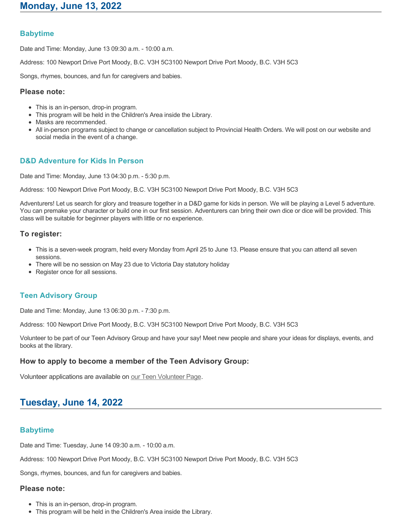# **Babytime**

Date and Time: Monday, June 13 09:30 a.m. - 10:00 a.m.

Address: 100 Newport Drive Port Moody, B.C. V3H 5C3100 Newport Drive Port Moody, B.C. V3H 5C3

Songs, rhymes, bounces, and fun for caregivers and babies.

#### **Please note:**

- This is an in-person, drop-in program.
- This program will be held in the Children's Area inside the Library.
- Masks are recommended.
- All in-person programs subject to change or cancellation subject to Provincial Health Orders. We will post on our website and social media in the event of a change.

# **D&D Adventure for Kids In Person**

Date and Time: Monday, June 13 04:30 p.m. - 5:30 p.m.

Address: 100 Newport Drive Port Moody, B.C. V3H 5C3100 Newport Drive Port Moody, B.C. V3H 5C3

Adventurers! Let us search for glory and treasure together in a D&D game for kids in person. We will be playing a Level 5 adventure. You can premake your character or build one in our first session. Adventurers can bring their own dice or dice will be provided. This class will be suitable for beginner players with little or no experience.

### **To register:**

- This is a seven-week program, held every Monday from April 25 to June 13. Please ensure that you can attend all seven sessions.
- There will be no session on May 23 due to Victoria Day statutory holiday
- Register once for all sessions.

### **Teen Advisory Group**

Date and Time: Monday, June 13 06:30 p.m. - 7:30 p.m.

Address: 100 Newport Drive Port Moody, B.C. V3H 5C3100 Newport Drive Port Moody, B.C. V3H 5C3

Volunteer to be part of our Teen Advisory Group and have your say! Meet new people and share your ideas for displays, events, and books at the library.

### **How to apply to become a member of the Teen Advisory Group:**

Volunteer applications are available on [our Teen Volunteer Page.](https://www.portmoodylibrary.ca/en/programs-and-events/teen-volunteer-programs.aspx)

# **Tuesday, June 14, 2022**

## **Babytime**

Date and Time: Tuesday, June 14 09:30 a.m. - 10:00 a.m.

Address: 100 Newport Drive Port Moody, B.C. V3H 5C3100 Newport Drive Port Moody, B.C. V3H 5C3

Songs, rhymes, bounces, and fun for caregivers and babies.

### **Please note:**

- This is an in-person, drop-in program.
- This program will be held in the Children's Area inside the Library.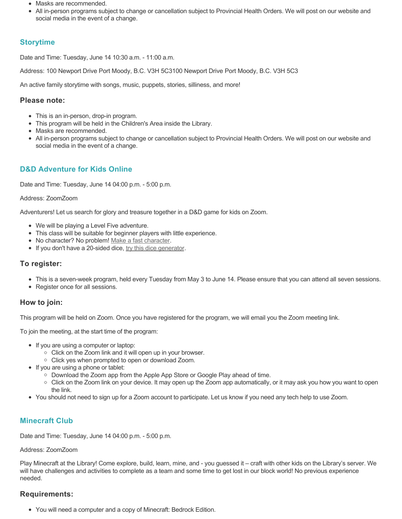- Masks are recommended.
- All in-person programs subject to change or cancellation subject to Provincial Health Orders. We will post on our website and social media in the event of a change.

# **Storytime**

Date and Time: Tuesday, June 14 10:30 a.m. - 11:00 a.m.

Address: 100 Newport Drive Port Moody, B.C. V3H 5C3100 Newport Drive Port Moody, B.C. V3H 5C3

An active family storytime with songs, music, puppets, stories, silliness, and more!

# **Please note:**

- This is an in-person, drop-in program.
- This program will be held in the Children's Area inside the Library.
- Masks are recommended.
- All in-person programs subject to change or cancellation subject to Provincial Health Orders. We will post on our website and social media in the event of a change.

# **D&D Adventure for Kids Online**

Date and Time: Tuesday, June 14 04:00 p.m. - 5:00 p.m.

## Address: ZoomZoom

Adventurers! Let us search for glory and treasure together in a D&D game for kids on Zoom.

- We will be playing a Level Five adventure.
- This class will be suitable for beginner players with little experience.
- No character? No problem! [Make a fast character.](https://fastcharacter.com/)
- If you don't have a 20-sided dice, [try this dice generator.](https://www.wizards.com/dnd/dice/dice.htm)

# **To register:**

- This is a seven-week program, held every Tuesday from May 3 to June 14. Please ensure that you can attend all seven sessions.
- Register once for all sessions.

# **How to join:**

This program will be held on Zoom. Once you have registered for the program, we will email you the Zoom meeting link.

To join the meeting, at the start time of the program:

- If you are using a computer or laptop:
	- Click on the Zoom link and it will open up in your browser.
	- Click yes when prompted to open or download Zoom.
- If you are using a phone or tablet:
	- Download the Zoom app from the Apple App Store or Google Play ahead of time.
	- Click on the Zoom link on your device. It may open up the Zoom app automatically, or it may ask you how you want to open the link.
- You should not need to sign up for a Zoom account to participate. Let us know if you need any tech help to use Zoom.

# **Minecraft Club**

Date and Time: Tuesday, June 14 04:00 p.m. - 5:00 p.m.

## Address: ZoomZoom

Play Minecraft at the Library! Come explore, build, learn, mine, and - you guessed it – craft with other kids on the Library's server. We will have challenges and activities to complete as a team and some time to get lost in our block world! No previous experience needed.

# **Requirements:**

You will need a computer and a copy of Minecraft: Bedrock Edition.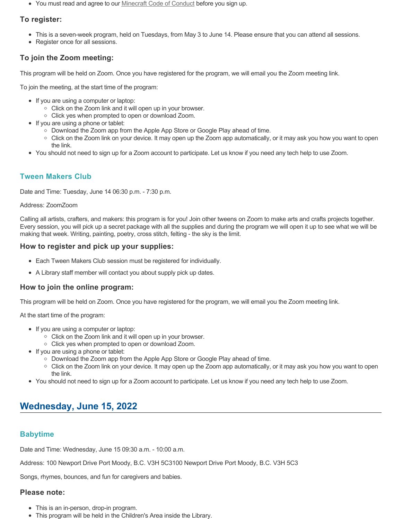• You must read and agree to our <u>Minecraft Code of Conduct</u> before you sign up.

# **To register:**

- This is a seven-week program, held on Tuesdays, from May 3 to June 14. Please ensure that you can attend all sessions.
- Register once for all sessions.

# **To join the Zoom meeting:**

This program will be held on Zoom. Once you have registered for the program, we will email you the Zoom meeting link.

To join the meeting, at the start time of the program:

- If you are using a computer or laptop:
	- Click on the Zoom link and it will open up in your browser.
	- Click yes when prompted to open or download Zoom.
- If you are using a phone or tablet:
	- Download the Zoom app from the Apple App Store or Google Play ahead of time.
	- Click on the Zoom link on your device. It may open up the Zoom app automatically, or it may ask you how you want to open the link.
- You should not need to sign up for a Zoom account to participate. Let us know if you need any tech help to use Zoom.

# **Tween Makers Club**

Date and Time: Tuesday, June 14 06:30 p.m. - 7:30 p.m.

#### Address: ZoomZoom

Calling all artists, crafters, and makers: this program is for you! Join other tweens on Zoom to make arts and crafts projects together. Every session, you will pick up a secret package with all the supplies and during the program we will open it up to see what we will be making that week. Writing, painting, poetry, cross stitch, felting - the sky is the limit.

### **How to register and pick up your supplies:**

- Each Tween Makers Club session must be registered for individually.
- A Library staff member will contact you about supply pick up dates.

## **How to join the online program:**

This program will be held on Zoom. Once you have registered for the program, we will email you the Zoom meeting link.

At the start time of the program:

- If you are using a computer or laptop:
	- Click on the Zoom link and it will open up in your browser.
	- Click yes when prompted to open or download Zoom.
- If you are using a phone or tablet:
	- Download the Zoom app from the Apple App Store or Google Play ahead of time.
	- Click on the Zoom link on your device. It may open up the Zoom app automatically, or it may ask you how you want to open the link.
- You should not need to sign up for a Zoom account to participate. Let us know if you need any tech help to use Zoom.

# **Wednesday, June 15, 2022**

# **Babytime**

Date and Time: Wednesday, June 15 09:30 a.m. - 10:00 a.m.

Address: 100 Newport Drive Port Moody, B.C. V3H 5C3100 Newport Drive Port Moody, B.C. V3H 5C3

Songs, rhymes, bounces, and fun for caregivers and babies.

### **Please note:**

- This is an in-person, drop-in program.
- This program will be held in the Children's Area inside the Library.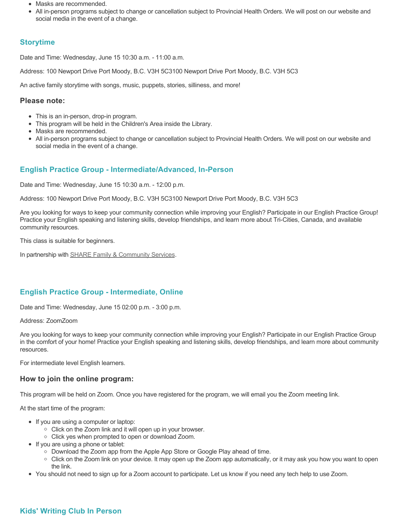- Masks are recommended.
- All in-person programs subject to change or cancellation subject to Provincial Health Orders. We will post on our website and social media in the event of a change.

# **Storytime**

Date and Time: Wednesday, June 15 10:30 a.m. - 11:00 a.m.

Address: 100 Newport Drive Port Moody, B.C. V3H 5C3100 Newport Drive Port Moody, B.C. V3H 5C3

An active family storytime with songs, music, puppets, stories, silliness, and more!

#### **Please note:**

- This is an in-person, drop-in program.
- This program will be held in the Children's Area inside the Library.
- Masks are recommended.
- All in-person programs subject to change or cancellation subject to Provincial Health Orders. We will post on our website and social media in the event of a change.

## **English Practice Group - Intermediate/Advanced, In-Person**

Date and Time: Wednesday, June 15 10:30 a.m. - 12:00 p.m.

Address: 100 Newport Drive Port Moody, B.C. V3H 5C3100 Newport Drive Port Moody, B.C. V3H 5C3

Are you looking for ways to keep your community connection while improving your English? Participate in our English Practice Group! Practice your English speaking and listening skills, develop friendships, and learn more about Tri-Cities, Canada, and available community resources.

This class is suitable for beginners.

In partnership with **SHARE Family & Community Services**.

## **English Practice Group - Intermediate, Online**

Date and Time: Wednesday, June 15 02:00 p.m. - 3:00 p.m.

Address: ZoomZoom

Are you looking for ways to keep your community connection while improving your English? Participate in our English Practice Group in the comfort of your home! Practice your English speaking and listening skills, develop friendships, and learn more about community resources.

For intermediate level English learners.

### **How to join the online program:**

This program will be held on Zoom. Once you have registered for the program, we will email you the Zoom meeting link.

At the start time of the program:

- If you are using a computer or laptop:
	- Click on the Zoom link and it will open up in your browser.
	- Click yes when prompted to open or download Zoom.
- If you are using a phone or tablet:
	- Download the Zoom app from the Apple App Store or Google Play ahead of time.
	- Click on the Zoom link on your device. It may open up the Zoom app automatically, or it may ask you how you want to open the link.
- You should not need to sign up for a Zoom account to participate. Let us know if you need any tech help to use Zoom.

## **Kids' Writing Club In Person**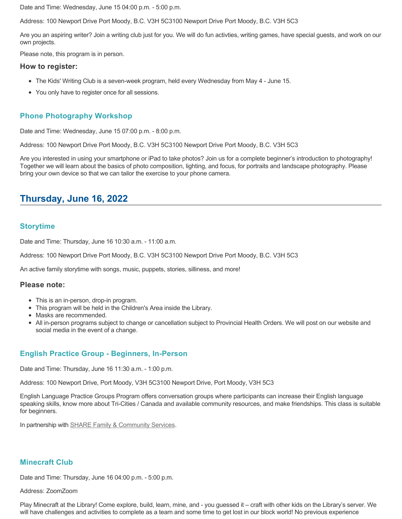Date and Time: Wednesday, June 15 04:00 p.m. - 5:00 p.m.

Address: 100 Newport Drive Port Moody, B.C. V3H 5C3100 Newport Drive Port Moody, B.C. V3H 5C3

Are you an aspiring writer? Join a writing club just for you. We will do fun activties, writing games, have special guests, and work on our own projects.

Please note, this program is in person.

#### **How to register:**

- The Kids' Writing Club is a seven-week program, held every Wednesday from May 4 June 15.
- You only have to register once for all sessions.

# **Phone Photography Workshop**

Date and Time: Wednesday, June 15 07:00 p.m. - 8:00 p.m.

Address: 100 Newport Drive Port Moody, B.C. V3H 5C3100 Newport Drive Port Moody, B.C. V3H 5C3

Are you interested in using your smartphone or iPad to take photos? Join us for a complete beginner's introduction to photography! Together we will learn about the basics of photo composition, lighting, and focus, for portraits and landscape photography. Please bring your own device so that we can tailor the exercise to your phone camera.

# **Thursday, June 16, 2022**

## **Storytime**

Date and Time: Thursday, June 16 10:30 a.m. - 11:00 a.m.

Address: 100 Newport Drive Port Moody, B.C. V3H 5C3100 Newport Drive Port Moody, B.C. V3H 5C3

An active family storytime with songs, music, puppets, stories, silliness, and more!

#### **Please note:**

- This is an in-person, drop-in program.
- This program will be held in the Children's Area inside the Library.
- Masks are recommended.
- All in-person programs subject to change or cancellation subject to Provincial Health Orders. We will post on our website and social media in the event of a change.

## **English Practice Group - Beginners, In-Person**

Date and Time: Thursday, June 16 11:30 a.m. - 1:00 p.m.

Address: 100 Newport Drive, Port Moody, V3H 5C3100 Newport Drive, Port Moody, V3H 5C3

English Language Practice Groups Program offers conversation groups where participants can increase their English language speaking skills, know more about Tri-Cities / Canada and available community resources, and make friendships. This class is suitable for beginners.

In partnership with **SHARE Family & Community Services**.

### **Minecraft Club**

Date and Time: Thursday, June 16 04:00 p.m. - 5:00 p.m.

#### Address: ZoomZoom

Play Minecraft at the Library! Come explore, build, learn, mine, and - you guessed it – craft with other kids on the Library's server. We will have challenges and activities to complete as a team and some time to get lost in our block world! No previous experience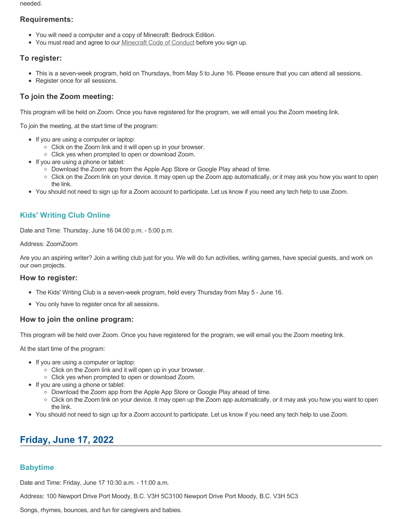needed.

## **Requirements:**

- You will need a computer and a copy of Minecraft: Bedrock Edition.
- You must read and agree to our [Minecraft Code of Conduct](https://www.portmoodylibrary.ca/en/services/edocs.ashx?docnumber=577372) before you sign up.

## **To register:**

- This is a seven-week program, held on Thursdays, from May 5 to June 16. Please ensure that you can attend all sessions.
- Register once for all sessions.

# **To join the Zoom meeting:**

This program will be held on Zoom. Once you have registered for the program, we will email you the Zoom meeting link.

To join the meeting, at the start time of the program:

- If you are using a computer or laptop:
	- Click on the Zoom link and it will open up in your browser.
	- Click yes when prompted to open or download Zoom.
- If you are using a phone or tablet:
	- Download the Zoom app from the Apple App Store or Google Play ahead of time.
	- Click on the Zoom link on your device. It may open up the Zoom app automatically, or it may ask you how you want to open the link.
- You should not need to sign up for a Zoom account to participate. Let us know if you need any tech help to use Zoom.

# **Kids' Writing Club Online**

Date and Time: Thursday, June 16 04:00 p.m. - 5:00 p.m.

#### Address: ZoomZoom

Are you an aspiring writer? Join a writing club just for you. We will do fun activities, writing games, have special guests, and work on our own projects.

## **How to register:**

- The Kids' Writing Club is a seven-week program, held every Thursday from May 5 June 16.
- You only have to register once for all sessions.

## **How to join the online program:**

This program will be held over Zoom. Once you have registered for the program, we will email you the Zoom meeting link.

At the start time of the program:

- If you are using a computer or laptop:
	- Click on the Zoom link and it will open up in your browser.
	- Click yes when prompted to open or download Zoom.
- If you are using a phone or tablet:
	- Download the Zoom app from the Apple App Store or Google Play ahead of time.
	- Click on the Zoom link on your device. It may open up the Zoom app automatically, or it may ask you how you want to open the link.
- You should not need to sign up for a Zoom account to participate. Let us know if you need any tech help to use Zoom.

# **Friday, June 17, 2022**

# **Babytime**

Date and Time: Friday, June 17 10:30 a.m. - 11:00 a.m.

Address: 100 Newport Drive Port Moody, B.C. V3H 5C3100 Newport Drive Port Moody, B.C. V3H 5C3

Songs, rhymes, bounces, and fun for caregivers and babies.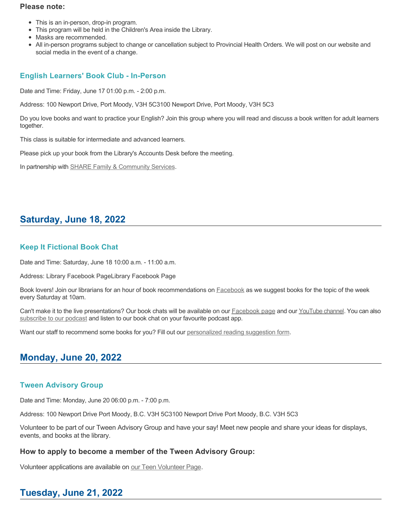### **Please note:**

- This is an in-person, drop-in program.
- This program will be held in the Children's Area inside the Library.
- Masks are recommended.
- All in-person programs subject to change or cancellation subject to Provincial Health Orders. We will post on our website and social media in the event of a change.

# **English Learners' Book Club - In-Person**

Date and Time: Friday, June 17 01:00 p.m. - 2:00 p.m.

Address: 100 Newport Drive, Port Moody, V3H 5C3100 Newport Drive, Port Moody, V3H 5C3

Do you love books and want to practice your English? Join this group where you will read and discuss a book written for adult learners together.

This class is suitable for intermediate and advanced learners.

Please pick up your book from the Library's Accounts Desk before the meeting.

In partnership with **SHARE Family & Community Services**.

# **Saturday, June 18, 2022**

# **Keep It Fictional Book Chat**

Date and Time: Saturday, June 18 10:00 a.m. - 11:00 a.m.

Address: Library Facebook PageLibrary Facebook Page

Book lovers! Join our librarians for an hour of book recommendations on [Facebook](https://www.facebook.com/pomolibrary) as we suggest books for the topic of the week every Saturday at 10am.

Can't make it to the live presentations? Our book chats will be available on our [Facebook page](https://www.facebook.com/pomolibrary/) and our [YouTube channel](https://www.youtube.com/channel/UC2I_AE1E_BpN8xBXwyzhiYg?view_as=subscriber). You can also [subscribe to our podcast](https://anchor.fm/keepitfictional) and listen to our book chat on your favourite podcast app.

Want our staff to recommend some books for you? Fill out our [personalized reading suggestion form](https://www.portmoodylibrary.ca/en/borrow/reading-suggestions.aspx).

# **Monday, June 20, 2022**

## **Tween Advisory Group**

Date and Time: Monday, June 20 06:00 p.m. - 7:00 p.m.

Address: 100 Newport Drive Port Moody, B.C. V3H 5C3100 Newport Drive Port Moody, B.C. V3H 5C3

Volunteer to be part of our Tween Advisory Group and have your say! Meet new people and share your ideas for displays, events, and books at the library.

# **How to apply to become a member of the Tween Advisory Group:**

Volunteer applications are available on [our Teen Volunteer Page.](https://www.portmoodylibrary.ca/en/programs-and-events/teen-volunteer-programs.aspx)

# **Tuesday, June 21, 2022**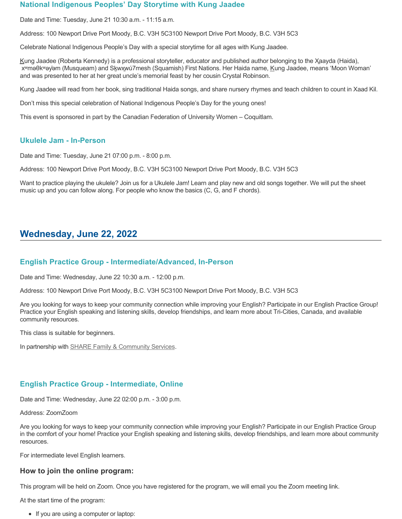### **National Indigenous Peoples' Day Storytime with Kung Jaadee**

Date and Time: Tuesday, June 21 10:30 a.m. - 11:15 a.m.

Address: 100 Newport Drive Port Moody, B.C. V3H 5C3100 Newport Drive Port Moody, B.C. V3H 5C3

Celebrate National Indigenous People's Day with a special storytime for all ages with Kung Jaadee.

Kung Jaadee (Roberta Kennedy) is a professional storyteller, educator and published author belonging to the Xaayda (Haida), xʷmәθkʷәy̓әm (Musqueam) and Sḵwx̱wú7mesh (Squamish) First Nations. Her Haida name, Kung Jaadee, means 'Moon Woman' and was presented to her at her great uncle's memorial feast by her cousin Crystal Robinson.

Kung Jaadee will read from her book, sing traditional Haida songs, and share nursery rhymes and teach children to count in Xaad Kil.

Don't miss this special celebration of National Indigenous People's Day for the young ones!

This event is sponsored in part by the Canadian Federation of University Women – Coquitlam.

## **Ukulele Jam - In-Person**

Date and Time: Tuesday, June 21 07:00 p.m. - 8:00 p.m.

Address: 100 Newport Drive Port Moody, B.C. V3H 5C3100 Newport Drive Port Moody, B.C. V3H 5C3

Want to practice playing the ukulele? Join us for a Ukulele Jam! Learn and play new and old songs together. We will put the sheet music up and you can follow along. For people who know the basics (C, G, and F chords).

# **Wednesday, June 22, 2022**

## **English Practice Group - Intermediate/Advanced, In-Person**

Date and Time: Wednesday, June 22 10:30 a.m. - 12:00 p.m.

Address: 100 Newport Drive Port Moody, B.C. V3H 5C3100 Newport Drive Port Moody, B.C. V3H 5C3

Are you looking for ways to keep your community connection while improving your English? Participate in our English Practice Group! Practice your English speaking and listening skills, develop friendships, and learn more about Tri-Cities, Canada, and available community resources.

This class is suitable for beginners.

In partnership with **SHARE Family & Community Services**.

## **English Practice Group - Intermediate, Online**

Date and Time: Wednesday, June 22 02:00 p.m. - 3:00 p.m.

Address: ZoomZoom

Are you looking for ways to keep your community connection while improving your English? Participate in our English Practice Group in the comfort of your home! Practice your English speaking and listening skills, develop friendships, and learn more about community resources.

For intermediate level English learners.

### **How to join the online program:**

This program will be held on Zoom. Once you have registered for the program, we will email you the Zoom meeting link.

At the start time of the program:

• If you are using a computer or laptop: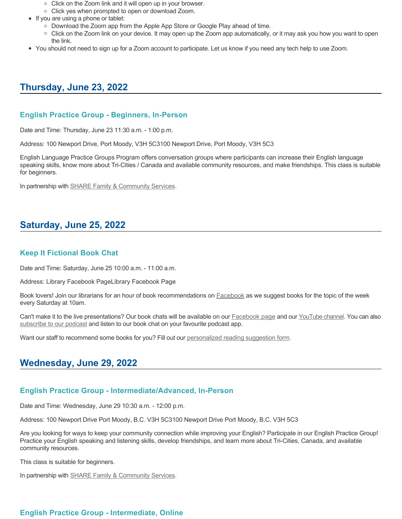- Click on the Zoom link and it will open up in your browser.
- Click yes when prompted to open or download Zoom.
- If you are using a phone or tablet:
	- Download the Zoom app from the Apple App Store or Google Play ahead of time.
	- Click on the Zoom link on your device. It may open up the Zoom app automatically, or it may ask you how you want to open the link.
- You should not need to sign up for a Zoom account to participate. Let us know if you need any tech help to use Zoom.

# **Thursday, June 23, 2022**

### **English Practice Group - Beginners, In-Person**

Date and Time: Thursday, June 23 11:30 a.m. - 1:00 p.m.

Address: 100 Newport Drive, Port Moody, V3H 5C3100 Newport Drive, Port Moody, V3H 5C3

English Language Practice Groups Program offers conversation groups where participants can increase their English language speaking skills, know more about Tri-Cities / Canada and available community resources, and make friendships. This class is suitable for beginners.

In partnership with **SHARE Family & Community Services**.

# **Saturday, June 25, 2022**

### **Keep It Fictional Book Chat**

Date and Time: Saturday, June 25 10:00 a.m. - 11:00 a.m.

Address: Library Facebook PageLibrary Facebook Page

Book lovers! Join our librarians for an hour of book recommendations on **[Facebook](https://www.facebook.com/pomolibrary)** as we suggest books for the topic of the week every Saturday at 10am.

Can't make it to the live presentations? Our book chats will be available on our **Facebook page and our [YouTube channel](https://www.youtube.com/channel/UC2I_AE1E_BpN8xBXwyzhiYg?view_as=subscriber)**. You can also [subscribe to our podcast](https://anchor.fm/keepitfictional) and listen to our book chat on your favourite podcast app.

Want our staff to recommend some books for you? Fill out our [personalized reading suggestion form](https://www.portmoodylibrary.ca/en/borrow/reading-suggestions.aspx).

# **Wednesday, June 29, 2022**

### **English Practice Group - Intermediate/Advanced, In-Person**

Date and Time: Wednesday, June 29 10:30 a.m. - 12:00 p.m.

Address: 100 Newport Drive Port Moody, B.C. V3H 5C3100 Newport Drive Port Moody, B.C. V3H 5C3

Are you looking for ways to keep your community connection while improving your English? Participate in our English Practice Group! Practice your English speaking and listening skills, develop friendships, and learn more about Tri-Cities, Canada, and available community resources.

This class is suitable for beginners.

In partnership with **SHARE Family & Community Services**.

# **English Practice Group - Intermediate, Online**